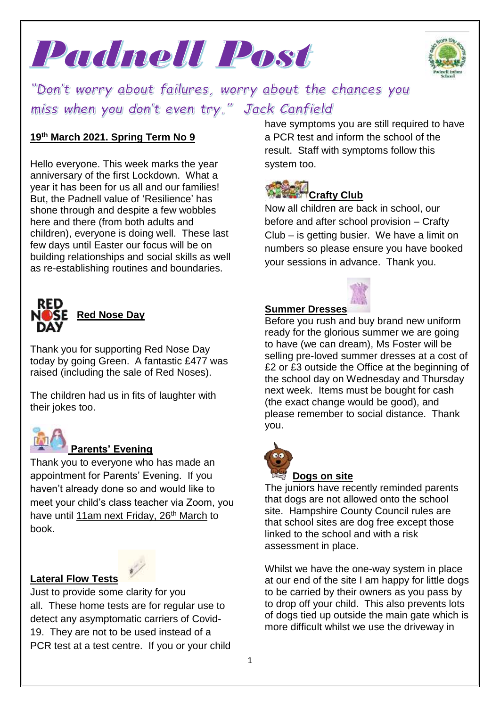



"Don't worry about failures, worry about the chances you miss when you don't even try." Jack Canfield

#### **19 th March 2021. Spring Term No 9**

Hello everyone. This week marks the year anniversary of the first Lockdown. What a year it has been for us all and our families! But, the Padnell value of 'Resilience' has shone through and despite a few wobbles here and there (from both adults and children), everyone is doing well. These last few days until Easter our focus will be on building relationships and social skills as well as re-establishing routines and boundaries.



Thank you for supporting Red Nose Day today by going Green. A fantastic £477 was raised (including the sale of Red Noses).

The children had us in fits of laughter with their jokes too.



### **Parents' Evening**

Thank you to everyone who has made an appointment for Parents' Evening. If you haven't already done so and would like to meet your child's class teacher via Zoom, you have until 11am next Friday, 26<sup>th</sup> March to book.

#### **Lateral Flow Tests**

Just to provide some clarity for you all. These home tests are for regular use to detect any asymptomatic carriers of Covid-19. They are not to be used instead of a PCR test at a test centre. If you or your child have symptoms you are still required to have a PCR test and inform the school of the result. Staff with symptoms follow this system too.

# **Crafty Club**

Now all children are back in school, our before and after school provision – Crafty Club – is getting busier. We have a limit on numbers so please ensure you have booked your sessions in advance. Thank you.

#### **Summer Dresses**

Before you rush and buy brand new uniform ready for the glorious summer we are going to have (we can dream), Ms Foster will be selling pre-loved summer dresses at a cost of £2 or £3 outside the Office at the beginning of the school day on Wednesday and Thursday next week. Items must be bought for cash (the exact change would be good), and please remember to social distance. Thank you.



#### **Dogs on site**

The juniors have recently reminded parents that dogs are not allowed onto the school site. Hampshire County Council rules are that school sites are dog free except those linked to the school and with a risk assessment in place.

Whilst we have the one-way system in place at our end of the site I am happy for little dogs to be carried by their owners as you pass by to drop off your child. This also prevents lots of dogs tied up outside the main gate which is more difficult whilst we use the driveway in